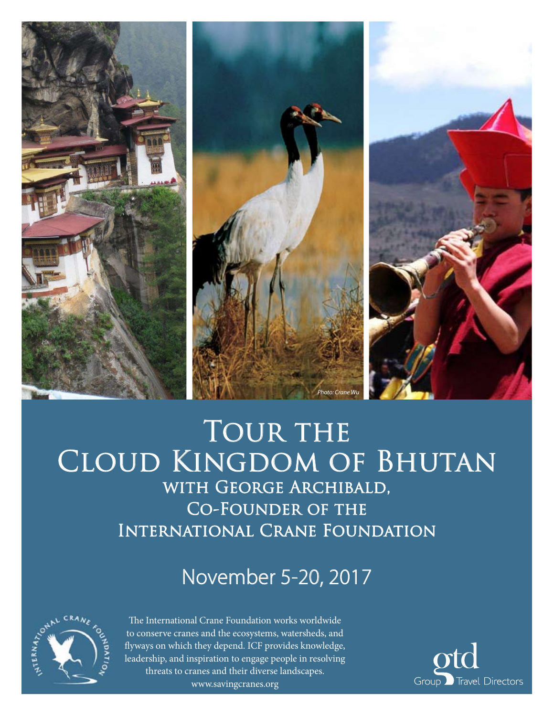

# TOUR THE Cloud Kingdom of Bhutan with George Archibald, Co-Founder of the International Crane Foundation

# November 5-20, 2017



The International Crane Foundation works worldwide to conserve cranes and the ecosystems, watersheds, and flyways on which they depend. ICF provides knowledge, leadership, and inspiration to engage people in resolving threats to cranes and their diverse landscapes. www.savingcranes.org

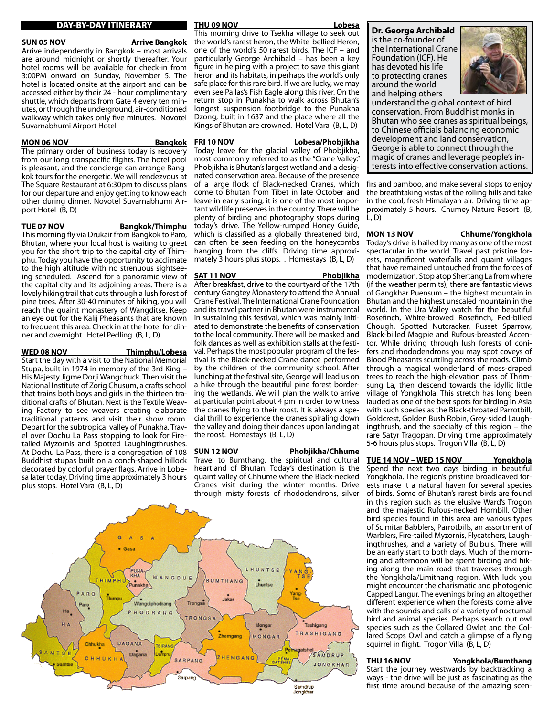# DAY-BY-DAY ITINERARY

## **SUN 05 NOV Arrive Bangkok**

Arrive independently in Bangkok – most arrivals are around midnight or shortly thereafter. Your hotel rooms will be available for check-in from 3:00PM onward on Sunday, November 5. The hotel is located onsite at the airport and can be accessed either by their 24 - hour complimentary shuttle, which departs from Gate 4 every ten minutes, or through the underground, air-conditioned walkway which takes only five minutes. Novotel Suvarnabhumi Airport Hotel

# **MON 06 NOV Bangkok**

The primary order of business today is recovery from our long transpacific flights. The hotel pool is pleasant, and the concierge can arrange Bangkok tours for the energetic. We will rendezvous at The Square Restaurant at 6:30pm to discuss plans for our departure and enjoy getting to know each other during dinner. Novotel Suvarnabhumi Airport Hotel (B, D)

**TUE 07 NOV Bangkok/Thimphu**

This morning fly via Drukair from Bangkok to Paro, Bhutan, where your local host is waiting to greet you for the short trip to the capital city of Thimphu. Today you have the opportunity to acclimate to the high altitude with no strenuous sightseeing scheduled. Ascend for a panoramic view of the capital city and its adjoining areas. There is a lovely hiking trail that cuts through a lush forest of pine trees. After 30-40 minutes of hiking, you will reach the quaint monastery of Wangditse. Keep an eye out for the Kalij Pheasants that are known to frequent this area. Check in at the hotel for dinner and overnight. Hotel Pedling (B, L, D)

# **WED 08 NOV Thimphu/Lobesa**

Start the day with a visit to the National Memorial Stupa, built in 1974 in memory of the 3rd King – His Majesty Jigme Dorji Wangchuck. Then visit the National Institute of Zorig Chusum, a crafts school that trains both boys and girls in the thirteen traditional crafts of Bhutan. Next is the Textile Weaving Factory to see weavers creating elaborate traditional patterns and visit their show room. Depart for the subtropical valley of Punakha. Travel over Dochu La Pass stopping to look for Firetailed Myzornis and Spotted Laughingthrushes. At Dochu La Pass, there is a congregation of 108 Buddhist stupas built on a conch-shaped hillock decorated by colorful prayer flags. Arrive in Lobesa later today. Driving time approximately 3 hours plus stops. Hotel Vara (B, L, D)

# **THU 09 NOV Lobesa**

This morning drive to Tsekha village to seek out the world's rarest heron, the White-bellied Heron, one of the world's 50 rarest birds. The ICF – and particularly George Archibald – has been a key figure in helping with a project to save this giant heron and its habitats, in perhaps the world's only safe place for this rare bird. If we are lucky, we may even see Pallas's Fish Eagle along this river. On the return stop in Punakha to walk across Bhutan's longest suspension footbridge to the Punakha Dzong, built in 1637 and the place where all the Kings of Bhutan are crowned. Hotel Vara (B, L, D)

**FRI 10 NOV Lobesa/Phobjikha**

Today leave for the glacial valley of Phobjikha, most commonly referred to as the "Crane Valley." Phobjikha is Bhutan's largest wetland and a designated conservation area. Because of the presence of a large flock of Black-necked Cranes, which come to Bhutan from Tibet in late October and leave in early spring, it is one of the most important wildlife preserves in the country. There will be plenty of birding and photography stops during today's drive. The Yellow-rumped Honey Guide, which is classified as a globally threatened bird, can often be seen feeding on the honeycombs hanging from the cliffs. Driving time approximately 3 hours plus stops. . Homestays (B, L, D)

## **SAT 11 NOV Phobjikha**

After breakfast, drive to the courtyard of the 17th century Gangtey Monastery to attend the Annual Crane Festival. The International Crane Foundation and its travel partner in Bhutan were instrumental in sustaining this festival, which was mainly initiated to demonstrate the benefits of conservation to the local community. There will be masked and folk dances as well as exhibition stalls at the festival. Perhaps the most popular program of the festival is the Black-necked Crane dance performed by the children of the community school. After lunching at the festival site, George will lead us on a hike through the beautiful pine forest bordering the wetlands. We will plan the walk to arrive at particular point about 4 pm in order to witness the cranes flying to their roost. It is always a special thrill to experience the cranes spiraling down the valley and doing their dances upon landing at the roost. Homestays (B, L, D)

**SUN 12 NOV Phobjikha/Chhume** Travel to Bumthang, the spiritual and cultural heartland of Bhutan. Today's destination is the quaint valley of Chhume where the Black-necked Cranes visit during the winter months. Drive through misty forests of rhododendrons, silver



**Dr. George Archibald** is the co-founder of the International Crane Foundation (ICF). He has devoted his life

to protecting cranes around the world



and helping others understand the global context of bird conservation. From Buddhist monks in Bhutan who see cranes as spiritual beings, to Chinese officials balancing economic development and land conservation, George is able to connect through the magic of cranes and leverage people's interests into effective conservation actions.

firs and bamboo, and make several stops to enjoy the breathtaking vistas of the rolling hills and take in the cool, fresh Himalayan air. Driving time approximately 5 hours. Chumey Nature Resort (B,  $L, D$ 

## **MON 13 NOV Chhume/Yongkhola**

Today's drive is hailed by many as one of the most spectacular in the world. Travel past pristine forests, magnificent waterfalls and quaint villages that have remained untouched from the forces of modernization. Stop atop Shertang La from where (if the weather permits), there are fantastic views of Gangkhar Puensum – the highest mountain in Bhutan and the highest unscaled mountain in the world. In the Ura Valley watch for the beautiful Rosefinch, White-browed Rosefinch, Red-billed Chough, Spotted Nutcracker, Russet Sparrow, Black-billed Magpie and Rufous-breasted Accentor. While driving through lush forests of conifers and rhododendrons you may spot coveys of Blood Pheasants scuttling across the roads. Climb through a magical wonderland of moss-draped trees to reach the high-elevation pass of Thrimsung La, then descend towards the idyllic little village of Yongkhola. This stretch has long been lauded as one of the best spots for birding in Asia with such species as the Black-throated Parrotbill, Goldcrest, Golden Bush Robin, Grey-sided Laughingthrush, and the specialty of this region – the rare Satyr Tragopan. Driving time approximately 5-6 hours plus stops. Trogon Villa (B, L, D)

# **TUE 14 NOV – WED 15 NOV Yongkhola**

Spend the next two days birding in beautiful Yongkhola. The region's pristine broadleaved forests make it a natural haven for several species of birds. Some of Bhutan's rarest birds are found in this region such as the elusive Ward's Trogon and the majestic Rufous-necked Hornbill. Other bird species found in this area are various types of Scimitar Babblers, Parrotbills, an assortment of Warblers, Fire-tailed Myzornis, Flycatchers, Laughingthrushes, and a variety of Bulbuls. There will be an early start to both days. Much of the morning and afternoon will be spent birding and hiking along the main road that traverses through the Yongkhola/Limithang region. With luck you might encounter the charismatic and photogenic Capped Langur. The evenings bring an altogether different experience when the forests come alive with the sounds and calls of a variety of nocturnal bird and animal species. Perhaps search out owl species such as the Collared Owlet and the Collared Scops Owl and catch a glimpse of a flying squirrel in flight. Trogon Villa (B, L, D)

# **THU 16 NOV Yongkhola/Bumthang**

Start the journey westwards by backtracking a ways - the drive will be just as fascinating as the first time around because of the amazing scen-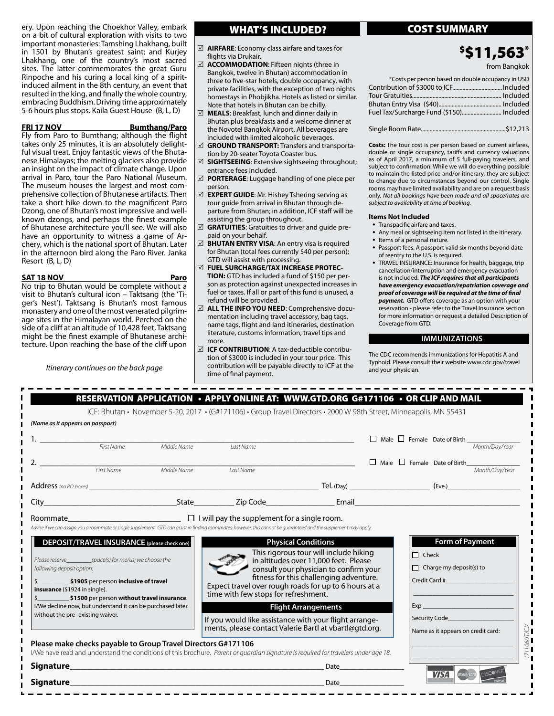ery. Upon reaching the Choekhor Valley, embark on a bit of cultural exploration with visits to two important monasteries: Tamshing Lhakhang, built in 1501 by Bhutan's greatest saint; and Kurjey Lhakhang, one of the country's most sacred sites. The latter commemorates the great Guru Rinpoche and his curing a local king of a spiritinduced ailment in the 8th century, an event that resulted in the king, and finally the whole country, embracing Buddhism. Driving time approximately 5-6 hours plus stops. Kaila Guest House (B, L, D)

## **FRI 17 NOV Bumthang/Paro**

Fly from Paro to Bumthang; although the flight takes only 25 minutes, it is an absolutely delightful visual treat. Enjoy fantastic views of the Bhutanese Himalayas; the melting glaciers also provide an insight on the impact of climate change. Upon arrival in Paro, tour the Paro National Museum. The museum houses the largest and most comprehensive collection of Bhutanese artifacts. Then take a short hike down to the magnificent Paro Dzong, one of Bhutan's most impressive and wellknown dzongs, and perhaps the finest example of Bhutanese architecture you'll see. We will also have an opportunity to witness a game of Archery, which is the national sport of Bhutan. Later in the afternoon bird along the Paro River. Janka Resort (B, L, D)

**SAT 18 NOV Paro** No trip to Bhutan would be complete without a visit to Bhutan's cultural icon – Taktsang (the 'Tiger's Nest'). Taktsang is Bhutan's most famous monastery and one of the most venerated pilgrimage sites in the Himalayan world. Perched on the side of a cliff at an altitude of 10,428 feet, Taktsang might be the finest example of Bhutanese architecture. Upon reaching the base of the cliff upon

*Itinerary continues on the back page*

# WHAT'S INCLUDED? **The COST SUMMARY**

- 5 **AIRFARE**: Economy class airfare and taxes for flights via Drukair.
- 5 **ACCOMMODATION**: Fifteen nights (three in Bangkok, twelve in Bhutan) accommodation in three to five-star hotels, double occupancy, with private facilities, with the exception of two nights homestays in Phobjikha. Hotels as listed or similar. Note that hotels in Bhutan can be chilly.
- 5 **MEALS**: Breakfast, lunch and dinner daily in Bhutan plus breakfasts and a welcome dinner at the Novotel Bangkok Airport. All beverages are included with limited alcoholic beverages.
- 5 **GROUND TRANSPORT:** Transfers and transportation by 20-seater Toyota Coaster bus.
- 5 **SIGHTSEEING**: Extensive sightseeing throughout; entrance fees included.
- 5 **PORTERAGE**: Luggage handling of one piece per person.
- 5 **EXPERT GUIDE**: Mr. Hishey Tshering serving as tour guide from arrival in Bhutan through departure from Bhutan; in addition, ICF staff will be assisting the group throughout.
- 5 **GRATUITIES**: Gratuities to driver and guide prepaid on your behalf.
- 5 **BHUTAN ENTRY VISA**: An entry visa is required for Bhutan (total fees currently \$40 per person); GTD will assist with processing.
- 5 **FUEL SURCHARGE/TAX INCREASE PROTEC-TION:** GTD has included a fund of \$150 per person as protection against unexpected increases in fuel or taxes. If all or part of this fund is unused, a refund will be provided.
- 5 **ALL THE INFO YOU NEED**: Comprehensive documentation including travel accessory, bag tags, name tags, flight and land itineraries, destination literature, customs information, travel tips and more.
- 5 **ICF CONTRIBUTION**: A tax-deductible contribution of \$3000 is included in your tour price. This contribution will be payable directly to ICF at the time of final payment.

# \$ \$11,563\*

from Bangkok

| *Costs per person based on double occupancy in USD |  |
|----------------------------------------------------|--|
|                                                    |  |
|                                                    |  |
|                                                    |  |
|                                                    |  |
|                                                    |  |
|                                                    |  |

**Costs:** The tour cost is per person based on current airfares, double or single occupancy, tariffs and currency valuations as of April 2017, a minimum of 5 full-paying travelers, and subject to confirmation. While we will do everything possible to maintain the listed price and/or itinerary, they are subject to change due to circumstances beyond our control. Single rooms may have limited availability and are on a request basis only. *Not all bookings have been made and all space/rates are subject to availability at time of booking.*

# **Items Not Included**

- Transpacific airfare and taxes.
- Any meal or sightseeing item not listed in the itinerary.
- Items of a personal nature.
- Passport fees. A passport valid six months beyond date of reentry to the U.S. is required.
- TRAVEL INSURANCE: Insurance for health, baggage, trip cancellation/interruption and emergency evacuation is not included. *The ICF requires that all participants have emergency evacuation/repatriation coverage and proof of coverage will be required at the time of final payment.* GTD offers coverage as an option with your reservation - please refer to the Travel Insurance section for more information or request a detailed Description of Coverage from GTD.

# **IMMUNIZATIONS**

The CDC recommends immunizations for Hepatitis A and Typhoid. Please consult their website www.cdc.gov/travel and your physician.

|                                                                                                                                                                                                                                                                                                                                                                                                                                                               |                                                | Last Name                                                                                                                                                                                                                                       |                                                                                                                                                                                                    |              |                                                                                              | $\Box$ Male $\Box$ Female Date of Birth $\frac{M_{\text{th}}}{M_{\text{th}}/Day\text{/Year}}$ |
|---------------------------------------------------------------------------------------------------------------------------------------------------------------------------------------------------------------------------------------------------------------------------------------------------------------------------------------------------------------------------------------------------------------------------------------------------------------|------------------------------------------------|-------------------------------------------------------------------------------------------------------------------------------------------------------------------------------------------------------------------------------------------------|----------------------------------------------------------------------------------------------------------------------------------------------------------------------------------------------------|--------------|----------------------------------------------------------------------------------------------|-----------------------------------------------------------------------------------------------|
|                                                                                                                                                                                                                                                                                                                                                                                                                                                               |                                                |                                                                                                                                                                                                                                                 |                                                                                                                                                                                                    |              |                                                                                              | Male Female Date of Birth                                                                     |
|                                                                                                                                                                                                                                                                                                                                                                                                                                                               | First Name<br>First Name Middle Name Last Name | Last Name                                                                                                                                                                                                                                       |                                                                                                                                                                                                    |              |                                                                                              | Month/Dav/Year                                                                                |
|                                                                                                                                                                                                                                                                                                                                                                                                                                                               |                                                |                                                                                                                                                                                                                                                 |                                                                                                                                                                                                    |              |                                                                                              |                                                                                               |
|                                                                                                                                                                                                                                                                                                                                                                                                                                                               |                                                |                                                                                                                                                                                                                                                 |                                                                                                                                                                                                    |              |                                                                                              |                                                                                               |
|                                                                                                                                                                                                                                                                                                                                                                                                                                                               | DEPOSIT/TRAVEL INSURANCE (please check one)    |                                                                                                                                                                                                                                                 | <b>Physical Conditions</b><br>This rigorous tour will include hiking<br>in altitudes over 11,000 feet. Please<br>consult your physician to confirm your<br>fitness for this challenging adventure. | $\Box$ Check | <b>Form of Payment</b><br>$\Box$ Charge my deposit(s) to<br>Credit Card # 2009 Credit Card # |                                                                                               |
|                                                                                                                                                                                                                                                                                                                                                                                                                                                               |                                                | Expect travel over rough roads for up to 6 hours at a<br>time with few stops for refreshment.<br><b>Flight Arrangements</b><br>If you would like assistance with your flight arrange-<br>ments, please contact Valerie Bartl at vbartl@gtd.org. |                                                                                                                                                                                                    |              | Exp                                                                                          |                                                                                               |
| following deposit option:<br>\$1905 per person inclusive of travel<br>insurance (\$1924 in single).<br>\$1500 per person without travel insurance.<br>I/We decline now, but understand it can be purchased later.<br>without the pre-existing waiver.<br>Please make checks payable to Group Travel Directors G#171106<br>I/We have read and understand the conditions of this brochure. Parent or quardian signature is required for travelers under age 18. |                                                |                                                                                                                                                                                                                                                 | Date                                                                                                                                                                                               |              | Name as it appears on credit card:                                                           |                                                                                               |